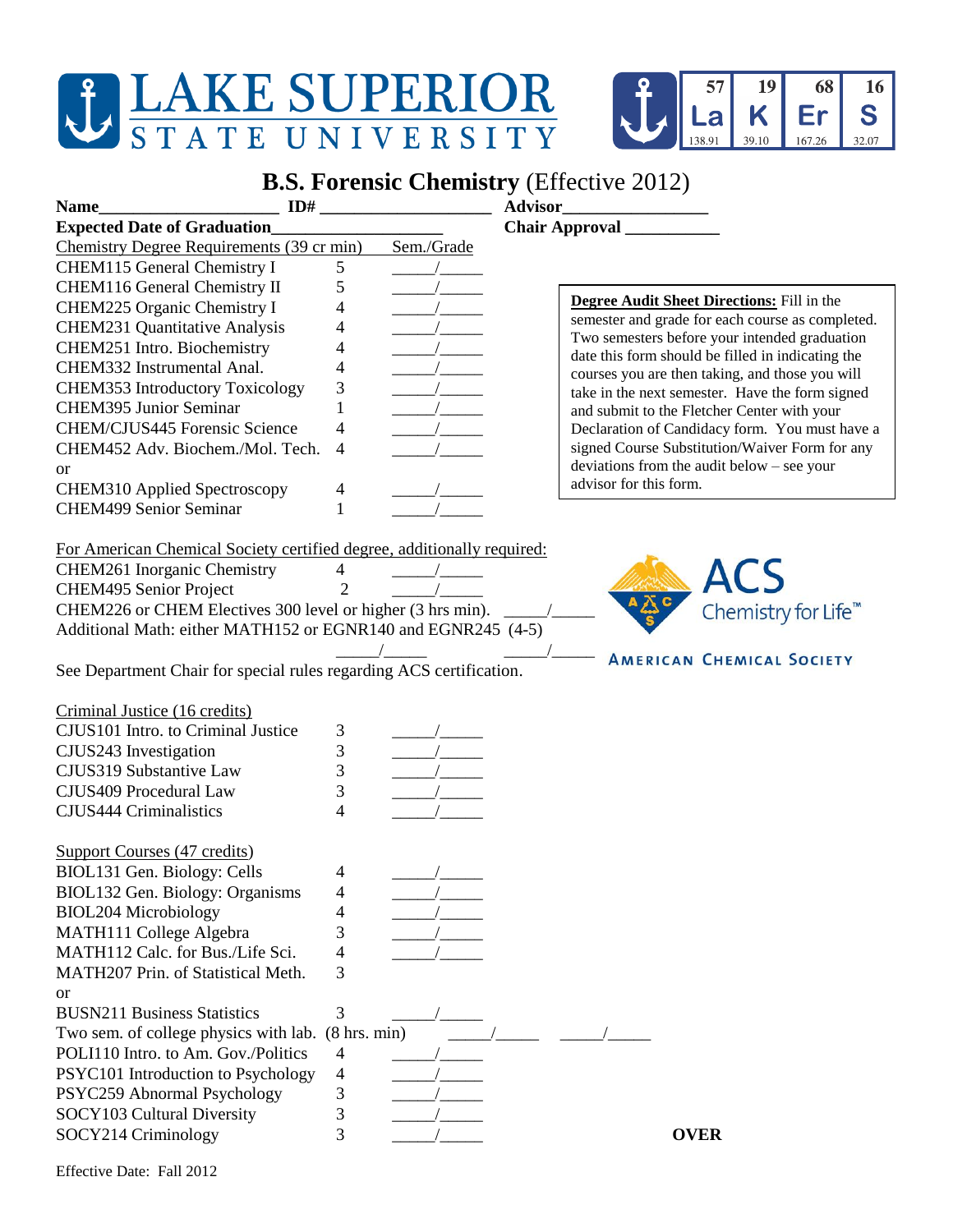## **JEAKE SUPERIOR STATE UNIVERSITY**



## **B.S. Forensic Chemistry** (Effective 2012)

| ID#<br><b>Name</b>                                                     |                          |            | Advisor                                                                                            |  |
|------------------------------------------------------------------------|--------------------------|------------|----------------------------------------------------------------------------------------------------|--|
| <b>Expected Date of Graduation_</b>                                    |                          |            |                                                                                                    |  |
| Chemistry Degree Requirements (39 cr min)                              |                          | Sem./Grade |                                                                                                    |  |
| CHEM115 General Chemistry I                                            | 5                        |            |                                                                                                    |  |
| CHEM116 General Chemistry II                                           | 5                        |            |                                                                                                    |  |
| CHEM225 Organic Chemistry I                                            | 4                        |            | Degree Audit Sheet Directions: Fill in the                                                         |  |
| CHEM231 Quantitative Analysis                                          | 4                        |            | semester and grade for each course as completed.                                                   |  |
| CHEM251 Intro. Biochemistry                                            | 4                        |            | Two semesters before your intended graduation<br>date this form should be filled in indicating the |  |
| CHEM332 Instrumental Anal.                                             | 4                        |            | courses you are then taking, and those you will                                                    |  |
| CHEM353 Introductory Toxicology                                        | 3                        |            | take in the next semester. Have the form signed                                                    |  |
| <b>CHEM395 Junior Seminar</b>                                          |                          |            | and submit to the Fletcher Center with your                                                        |  |
| CHEM/CJUS445 Forensic Science                                          | 4                        |            | Declaration of Candidacy form. You must have a                                                     |  |
| CHEM452 Adv. Biochem./Mol. Tech.                                       | 4                        |            | signed Course Substitution/Waiver Form for any                                                     |  |
| <b>or</b>                                                              |                          |            | deviations from the audit below - see your                                                         |  |
| CHEM310 Applied Spectroscopy                                           | 4                        |            | advisor for this form.                                                                             |  |
| <b>CHEM499 Senior Seminar</b>                                          | 1                        |            |                                                                                                    |  |
|                                                                        |                          |            |                                                                                                    |  |
| For American Chemical Society certified degree, additionally required: |                          |            |                                                                                                    |  |
| CHEM261 Inorganic Chemistry                                            | $\overline{4}$           |            |                                                                                                    |  |
| CHEM495 Senior Project                                                 | $\overline{2}$           |            |                                                                                                    |  |
| CHEM226 or CHEM Electives 300 level or higher (3 hrs min).             |                          |            | Chemistry for Life <sup>™</sup>                                                                    |  |
| Additional Math: either MATH152 or EGNR140 and EGNR245 (4-5)           |                          |            |                                                                                                    |  |
|                                                                        |                          |            |                                                                                                    |  |
| See Department Chair for special rules regarding ACS certification.    |                          |            | <b>AMERICAN CHEMICAL SOCIETY</b>                                                                   |  |
|                                                                        |                          |            |                                                                                                    |  |
| Criminal Justice (16 credits)                                          |                          |            |                                                                                                    |  |
| CJUS101 Intro. to Criminal Justice                                     | 3                        |            |                                                                                                    |  |
| CJUS243 Investigation                                                  | 3                        |            |                                                                                                    |  |
| CJUS319 Substantive Law                                                | 3                        |            |                                                                                                    |  |
| CJUS409 Procedural Law                                                 | 3                        |            |                                                                                                    |  |
| <b>CJUS444 Criminalistics</b>                                          | $\overline{\mathcal{L}}$ |            |                                                                                                    |  |
|                                                                        |                          |            |                                                                                                    |  |
| <b>Support Courses (47 credits)</b>                                    |                          |            |                                                                                                    |  |
| BIOL131 Gen. Biology: Cells                                            | 4                        |            |                                                                                                    |  |
| BIOL132 Gen. Biology: Organisms                                        | 4                        |            |                                                                                                    |  |
| <b>BIOL204 Microbiology</b>                                            | 4                        |            |                                                                                                    |  |
| MATH111 College Algebra                                                | 3                        |            |                                                                                                    |  |
| MATH112 Calc. for Bus./Life Sci.                                       |                          |            |                                                                                                    |  |
|                                                                        | 4                        |            |                                                                                                    |  |
| MATH207 Prin. of Statistical Meth.                                     | 3                        |            |                                                                                                    |  |
| <b>or</b>                                                              |                          |            |                                                                                                    |  |
| <b>BUSN211 Business Statistics</b>                                     | 3                        |            |                                                                                                    |  |
| Two sem. of college physics with lab. (8 hrs. min)                     |                          |            |                                                                                                    |  |
| POLI110 Intro. to Am. Gov./Politics                                    | $\overline{4}$           |            |                                                                                                    |  |
| PSYC101 Introduction to Psychology                                     | 4                        |            |                                                                                                    |  |
| PSYC259 Abnormal Psychology                                            | 3                        |            |                                                                                                    |  |
| SOCY103 Cultural Diversity                                             | 3                        |            |                                                                                                    |  |
| SOCY214 Criminology                                                    | 3                        |            | <b>OVER</b>                                                                                        |  |
|                                                                        |                          |            |                                                                                                    |  |

Effective Date: Fall 2012